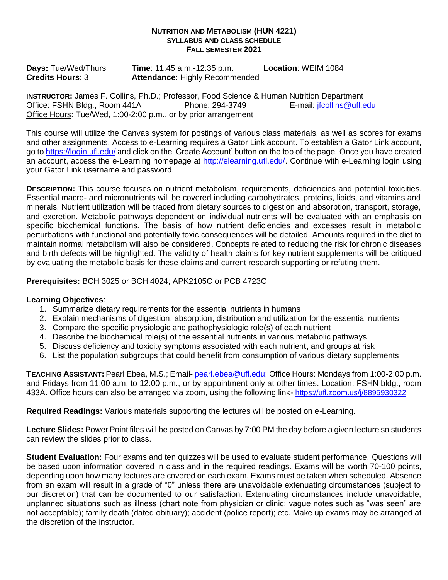#### **NUTRITION AND METABOLISM (HUN 4221) SYLLABUS AND CLASS SCHEDULE FALL SEMESTER 2021**

**Days:** Tue/Wed/Thurs **Time**: 11:45 a.m.-12:35 p.m. **Location**: WEIM 1084 **Credits Hours**: 3 **Attendance**: Highly Recommended **Attendance: Highly Recommended** 

**INSTRUCTOR:** James F. Collins, Ph.D.; Professor, Food Science & Human Nutrition Department<br>Office: FSHN Bldg., Room 441A **Phone: 294-3749** E-mail: jfcollins@ufl.edu Office: FSHN Bldg., Room 441A Phone: 294-3749 Office Hours: Tue/Wed, 1:00-2:00 p.m., or by prior arrangement

This course will utilize the Canvas system for postings of various class materials, as well as scores for exams and other assignments. Access to e-Learning requires a Gator Link account. To establish a Gator Link account, go t[o https://login.ufl.edu/](https://login.ufl.edu/) and click on the 'Create Account' button on the top of the page. Once you have created an account, access the e-Learning homepage at [http://elearning.ufl.edu/.](http://elearning.ufl.edu/) Continue with e-Learning login using your Gator Link username and password.

**DESCRIPTION:** This course focuses on nutrient metabolism, requirements, deficiencies and potential toxicities. Essential macro- and micronutrients will be covered including carbohydrates, proteins, lipids, and vitamins and minerals. Nutrient utilization will be traced from dietary sources to digestion and absorption, transport, storage, and excretion. Metabolic pathways dependent on individual nutrients will be evaluated with an emphasis on specific biochemical functions. The basis of how nutrient deficiencies and excesses result in metabolic perturbations with functional and potentially toxic consequences will be detailed. Amounts required in the diet to maintain normal metabolism will also be considered. Concepts related to reducing the risk for chronic diseases and birth defects will be highlighted. The validity of health claims for key nutrient supplements will be critiqued by evaluating the metabolic basis for these claims and current research supporting or refuting them.

**Prerequisites:** BCH 3025 or BCH 4024; APK2105C or PCB 4723C

## **Learning Objectives**:

- 1. Summarize dietary requirements for the essential nutrients in humans
- 2. Explain mechanisms of digestion, absorption, distribution and utilization for the essential nutrients
- 3. Compare the specific physiologic and pathophysiologic role(s) of each nutrient
- 4. Describe the biochemical role(s) of the essential nutrients in various metabolic pathways
- 5. Discuss deficiency and toxicity symptoms associated with each nutrient, and groups at risk
- 6. List the population subgroups that could benefit from consumption of various dietary supplements

**TEACHING ASSISTANT:** Pearl Ebea, M.S.; Email- [pearl.ebea@ufl.edu;](mailto:pearl.ebea@ufl.edu) Office Hours: Mondays from 1:00-2:00 p.m. and Fridays from 11:00 a.m. to 12:00 p.m., or by appointment only at other times. Location: FSHN bldg., room 433A. Office hours can also be arranged via zoom, using the following link- <https://ufl.zoom.us/j/8895930322>

**Required Readings:** Various materials supporting the lectures will be posted on e-Learning.

**Lecture Slides:** Power Point files will be posted on Canvas by 7:00 PM the day before a given lecture so students can review the slides prior to class.

**Student Evaluation:** Four exams and ten quizzes will be used to evaluate student performance. Questions will be based upon information covered in class and in the required readings. Exams will be worth 70-100 points, depending upon how many lectures are covered on each exam. Exams must be taken when scheduled. Absence from an exam will result in a grade of "0" unless there are unavoidable extenuating circumstances (subject to our discretion) that can be documented to our satisfaction. Extenuating circumstances include unavoidable, unplanned situations such as illness (chart note from physician or clinic; vague notes such as "was seen" are not acceptable); family death (dated obituary); accident (police report); etc. Make up exams may be arranged at the discretion of the instructor.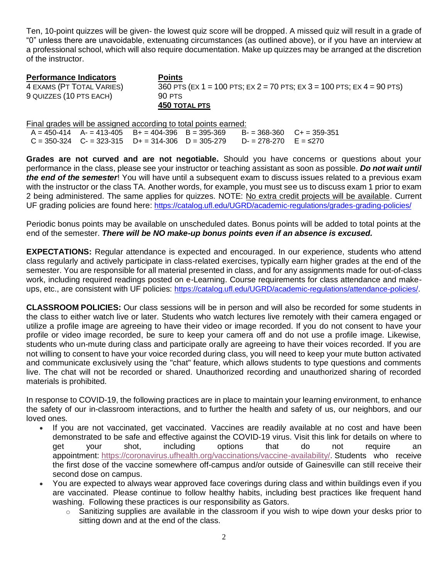Ten, 10-point quizzes will be given- the lowest quiz score will be dropped. A missed quiz will result in a grade of "0" unless there are unavoidable, extenuating circumstances (as outlined above), or if you have an interview at a professional school, which will also require documentation. Make up quizzes may be arranged at the discretion of the instructor.

**Performance Indicators Points** 4 EXAMS (PT TOTAL VARIES) 360 PTS (EX 1 = 100 PTS; EX 2 = 70 PTS; EX 3 = 100 PTS; EX 4 = 90 PTS) 9 QUIZZES (10 PTS EACH) 90 PTS **450 TOTAL PTS**

Final grades will be assigned according to total points earned:<br> $A = 450-414$   $A = 413-405$   $B = 404-396$   $B = 395-369$   $B = 395-369$  $B<sub>+</sub> = 404-396$  B = 395-369 B- = 368-360 C+ = 359-351  $C = 350-324$   $C = 323-315$   $D + = 314-306$   $D = 305-279$   $D = 278-270$   $E = \le 270$ 

**Grades are not curved and are not negotiable.** Should you have concerns or questions about your performance in the class, please see your instructor or teaching assistant as soon as possible. *Do not wait until the end of the semester*! You will have until a subsequent exam to discuss issues related to a previous exam with the instructor or the class TA. Another words, for example, you must see us to discuss exam 1 prior to exam 2 being administered. The same applies for quizzes. NOTE: No extra credit projects will be available. Current UF grading policies are found here: <https://catalog.ufl.edu/UGRD/academic-regulations/grades-grading-policies/>

Periodic bonus points may be available on unscheduled dates. Bonus points will be added to total points at the end of the semester. *There will be NO make-up bonus points even if an absence is excused.*

**EXPECTATIONS:** Regular attendance is expected and encouraged. In our experience, students who attend class regularly and actively participate in class-related exercises, typically earn higher grades at the end of the semester. You are responsible for all material presented in class, and for any assignments made for out-of-class work, including required readings posted on e-Learning. Course requirements for class attendance and makeups, etc., are consistent with UF policies: <https://catalog.ufl.edu/UGRD/academic-regulations/attendance-policies/>.

**CLASSROOM POLICIES:** Our class sessions will be in person and will also be recorded for some students in the class to either watch live or later. Students who watch lectures live remotely with their camera engaged or utilize a profile image are agreeing to have their video or image recorded. If you do not consent to have your profile or video image recorded, be sure to keep your camera off and do not use a profile image. Likewise, students who un-mute during class and participate orally are agreeing to have their voices recorded. If you are not willing to consent to have your voice recorded during class, you will need to keep your mute button activated and communicate exclusively using the "chat" feature, which allows students to type questions and comments live. The chat will not be recorded or shared. Unauthorized recording and unauthorized sharing of recorded materials is prohibited.

In response to COVID-19, the following practices are in place to maintain your learning environment, to enhance the safety of our in-classroom interactions, and to further the health and safety of us, our neighbors, and our loved ones.

- If you are not vaccinated, get vaccinated. Vaccines are readily available at no cost and have been demonstrated to be safe and effective against the COVID-19 virus. Visit this link for details on where to get your shot, including options that do not require an appointment: [https://coronavirus.ufhealth.org/vaccinations/vaccine-availability/.](https://coronavirus.ufhealth.org/vaccinations/vaccine-availability/) Students who receive the first dose of the vaccine somewhere off-campus and/or outside of Gainesville can still receive their second dose on campus.
- You are expected to always wear approved face coverings during class and within buildings even if you are vaccinated. Please continue to follow healthy habits, including best practices like frequent hand washing. Following these practices is our responsibility as Gators.
	- $\circ$  Sanitizing supplies are available in the classroom if you wish to wipe down your desks prior to sitting down and at the end of the class.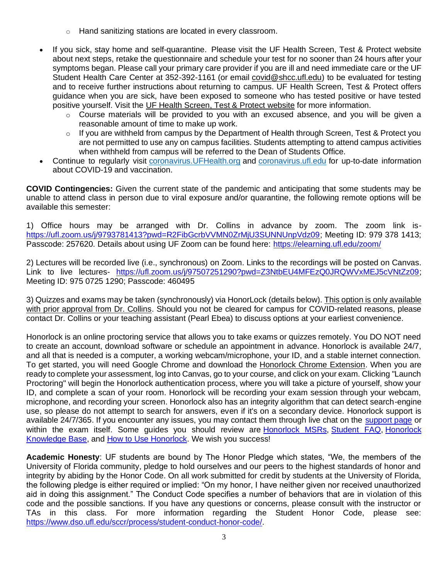- o Hand sanitizing stations are located in every classroom.
- If you sick, stay home and self-quarantine. Please visit the UF Health Screen, Test & Protect website about next steps, retake the questionnaire and schedule your test for no sooner than 24 hours after your symptoms began. Please call your primary care provider if you are ill and need immediate care or the UF Student Health Care Center at 352-392-1161 (or email [covid@shcc.ufl.edu\)](mailto:covid@shcc.ufl.edu) to be evaluated for testing and to receive further instructions about returning to campus. UF Health Screen, Test & Protect offers guidance when you are sick, have been exposed to someone who has tested positive or have tested positive yourself. Visit the UF Health [Screen,](https://click.info.gator360.ufl.edu/?qs=8f0d5e01a3f7385148f144e2089093522a358a8d85cb9db73c31675d3c5e5c0d27748d40c212f544822551342f1912ea5b4f2b890d5952e8) Test & Protect website for more information.
	- $\circ$  Course materials will be provided to you with an excused absence, and you will be given a reasonable amount of time to make up work.
	- o If you are withheld from campus by the Department of Health through Screen, Test & Protect you are not permitted to use any on campus facilities. Students attempting to attend campus activities when withheld from campus will be referred to the Dean of Students Office.
- Continue to regularly visit [coronavirus.UFHealth.org](http://coronavirus.ufhealth.org/) and [coronavirus.ufl.edu](http://coronavirus.ufl.edu/) for up-to-date information about COVID-19 and vaccination.

**COVID Contingencies:** Given the current state of the pandemic and anticipating that some students may be unable to attend class in person due to viral exposure and/or quarantine, the following remote options will be available this semester:

1) Office hours may be arranged with Dr. Collins in advance by zoom. The zoom link is[https://ufl.zoom.us/j/9793781413?pwd=R2FibGcrbVVMN0ZrMjU3SUNNUnpVdz09;](https://ufl.zoom.us/j/9793781413?pwd=R2FibGcrbVVMN0ZrMjU3SUNNUnpVdz09) Meeting ID: 979 378 1413; Passcode: 257620. Details about using UF Zoom can be found here:<https://elearning.ufl.edu/zoom/>

2) Lectures will be recorded live (i.e., synchronous) on Zoom. Links to the recordings will be posted on Canvas. Link to live lectures- [https://ufl.zoom.us/j/97507251290?pwd=Z3NtbEU4MFEzQ0JRQWVxMEJ5cVNtZz09;](https://ufl.zoom.us/j/97507251290?pwd=Z3NtbEU4MFEzQ0JRQWVxMEJ5cVNtZz09) Meeting ID: 975 0725 1290; Passcode: 460495

3) Quizzes and exams may be taken (synchronously) via HonorLock (details below). This option is only available with prior approval from Dr. Collins. Should you not be cleared for campus for COVID-related reasons, please contact Dr. Collins or your teaching assistant (Pearl Ebea) to discuss options at your earliest convenience.

Honorlock is an online proctoring service that allows you to take exams or quizzes remotely. You DO NOT need to create an account, download software or schedule an appointment in advance. Honorlock is available 24/7, and all that is needed is a computer, a working webcam/microphone, your ID, and a stable internet connection. To get started, you will need Google Chrome and download the [Honorlock Chrome Extension.](https://static.honorlock.com/install/extension) When you are ready to complete your assessment, log into Canvas, go to your course, and click on your exam. Clicking "Launch Proctoring" will begin the Honorlock authentication process, where you will take a picture of yourself, show your ID, and complete a scan of your room. Honorlock will be recording your exam session through your webcam, microphone, and recording your screen. Honorlock also has an integrity algorithm that can detect search-engine use, so please do not attempt to search for answers, even if it's on a secondary device. Honorlock support is available 24/7/365. If you encounter any issues, you may contact them through live chat on the [support page](https://honorlock.com/support/) or within the exam itself. Some guides you should review are [Honorlock MSRs,](https://honorlock.kb.help/-students-starting-exam/minimum-system-requirements/) [Student FAQ,](https://honorlock.kb.help/-students-starting-exam/honorlock-student-faq/) Honorlock [Knowledge Base,](https://honorlock.kb.help/) and [How to Use Honorlock.](https://www.youtube.com/watch?v=wRWE-9PUquo&feature=youtu.be) We wish you success!

**Academic Honesty**: UF students are bound by The Honor Pledge which states, "We, the members of the University of Florida community, pledge to hold ourselves and our peers to the highest standards of honor and integrity by abiding by the Honor Code. On all work submitted for credit by students at the University of Florida, the following pledge is either required or implied: "On my honor, I have neither given nor received unauthorized aid in doing this assignment." The Conduct Code specifies a number of behaviors that are in violation of this code and the possible sanctions. If you have any questions or concerns, please consult with the instructor or TAs in this class. For more information regarding the Student Honor Code, please see: [https://www.dso.ufl.edu/sccr/process/student-conduct-honor-code/.](https://www.dso.ufl.edu/sccr/process/student-conduct-honor-code/)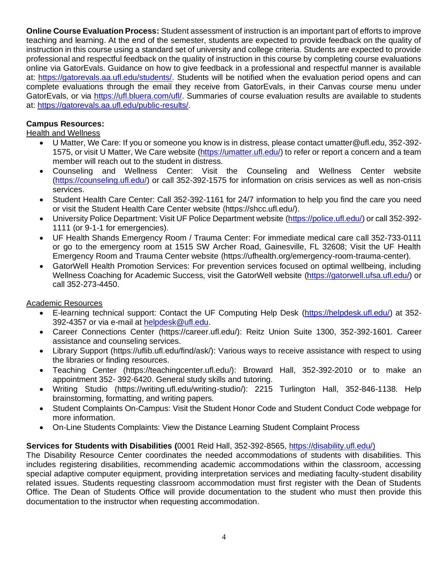**Online Course Evaluation Process:** Student assessment of instruction is an important part of efforts to improve teaching and learning. At the end of the semester, students are expected to provide feedback on the quality of instruction in this course using a standard set of university and college criteria. Students are expected to provide professional and respectful feedback on the quality of instruction in this course by completing course evaluations online via GatorEvals. Guidance on how to give feedback in a professional and respectful manner is available at: [https://gatorevals.aa.ufl.edu/students/.](https://gatorevals.aa.ufl.edu/students/) Students will be notified when the evaluation period opens and can complete evaluations through the email they receive from GatorEvals, in their Canvas course menu under GatorEvals, or via [https://ufl.bluera.com/ufl/.](https://ufl.bluera.com/ufl/) Summaries of course evaluation results are available to students at: [https://gatorevals.aa.ufl.edu/public-results/.](https://gatorevals.aa.ufl.edu/public-results/)

# **Campus Resources:**

Health and Wellness

- U Matter, We Care: If you or someone you know is in distress, please contact umatter@ufl.edu, 352-392- 1575, or visit U Matter, We Care website [\(https://umatter.ufl.edu/\)](https://umatter.ufl.edu/) to refer or report a concern and a team member will reach out to the student in distress.
- Counseling and Wellness Center: Visit the Counseling and Wellness Center website [\(https://counseling.ufl.edu/\)](https://counseling.ufl.edu/) or call 352-392-1575 for information on crisis services as well as non-crisis services.
- Student Health Care Center: Call 352-392-1161 for 24/7 information to help you find the care you need or visit the Student Health Care Center website (https://shcc.ufl.edu/).
- University Police Department: Visit UF Police Department website [\(https://police.ufl.edu/\)](https://police.ufl.edu/) or call 352-392- 1111 (or 9-1-1 for emergencies).
- UF Health Shands Emergency Room / Trauma Center: For immediate medical care call 352-733-0111 or go to the emergency room at 1515 SW Archer Road, Gainesville, FL 32608; Visit the UF Health Emergency Room and Trauma Center website (https://ufhealth.org/emergency-room-trauma-center).
- GatorWell Health Promotion Services: For prevention services focused on optimal wellbeing, including Wellness Coaching for Academic Success, visit the GatorWell website [\(https://gatorwell.ufsa.ufl.edu/\)](https://gatorwell.ufsa.ufl.edu/) or call 352-273-4450.

### Academic Resources

- E-learning technical support: Contact the UF Computing Help Desk [\(https://helpdesk.ufl.edu/\)](https://helpdesk.ufl.edu/) at 352- 392-4357 or via e-mail at [helpdesk@ufl.edu.](mailto:helpdesk@ufl.edu)
- Career Connections Center (https://career.ufl.edu/): Reitz Union Suite 1300, 352-392-1601. Career assistance and counseling services.
- Library Support (https://uflib.ufl.edu/find/ask/): Various ways to receive assistance with respect to using the libraries or finding resources.
- Teaching Center (https://teachingcenter.ufl.edu/): Broward Hall, 352-392-2010 or to make an appointment 352- 392-6420. General study skills and tutoring.
- Writing Studio (https://writing.ufl.edu/writing-studio/): 2215 Turlington Hall, 352-846-1138. Help brainstorming, formatting, and writing papers.
- Student Complaints On-Campus: Visit the Student Honor Code and Student Conduct Code webpage for more information.
- On-Line Students Complaints: View the Distance Learning Student Complaint Process

### **Services for Students with Disabilities (**0001 Reid Hall, 352-392-8565, [https://disability.ufl.edu/\)](https://disability.ufl.edu/))

The Disability Resource Center coordinates the needed accommodations of students with disabilities. This includes registering disabilities, recommending academic accommodations within the classroom, accessing special adaptive computer equipment, providing interpretation services and mediating faculty-student disability related issues. Students requesting classroom accommodation must first register with the Dean of Students Office. The Dean of Students Office will provide documentation to the student who must then provide this documentation to the instructor when requesting accommodation.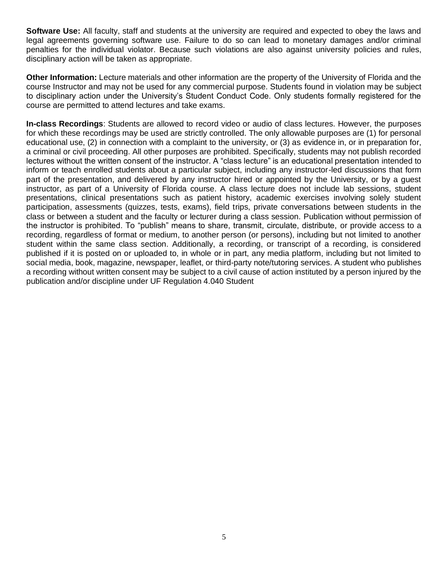**Software Use:** All faculty, staff and students at the university are required and expected to obey the laws and legal agreements governing software use. Failure to do so can lead to monetary damages and/or criminal penalties for the individual violator. Because such violations are also against university policies and rules, disciplinary action will be taken as appropriate.

**Other Information:** Lecture materials and other information are the property of the University of Florida and the course Instructor and may not be used for any commercial purpose. Students found in violation may be subject to disciplinary action under the University's Student Conduct Code. Only students formally registered for the course are permitted to attend lectures and take exams.

**In-class Recordings**: Students are allowed to record video or audio of class lectures. However, the purposes for which these recordings may be used are strictly controlled. The only allowable purposes are (1) for personal educational use, (2) in connection with a complaint to the university, or (3) as evidence in, or in preparation for, a criminal or civil proceeding. All other purposes are prohibited. Specifically, students may not publish recorded lectures without the written consent of the instructor. A "class lecture" is an educational presentation intended to inform or teach enrolled students about a particular subject, including any instructor-led discussions that form part of the presentation, and delivered by any instructor hired or appointed by the University, or by a guest instructor, as part of a University of Florida course. A class lecture does not include lab sessions, student presentations, clinical presentations such as patient history, academic exercises involving solely student participation, assessments (quizzes, tests, exams), field trips, private conversations between students in the class or between a student and the faculty or lecturer during a class session. Publication without permission of the instructor is prohibited. To "publish" means to share, transmit, circulate, distribute, or provide access to a recording, regardless of format or medium, to another person (or persons), including but not limited to another student within the same class section. Additionally, a recording, or transcript of a recording, is considered published if it is posted on or uploaded to, in whole or in part, any media platform, including but not limited to social media, book, magazine, newspaper, leaflet, or third-party note/tutoring services. A student who publishes a recording without written consent may be subject to a civil cause of action instituted by a person injured by the publication and/or discipline under UF Regulation 4.040 Student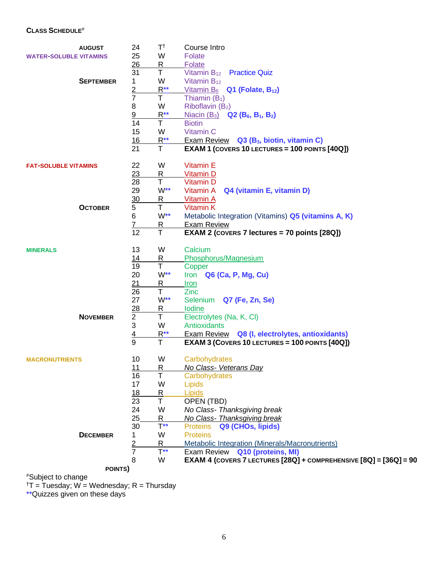# **CLASS SCHEDULE**#

|                               | <b>AUGUST</b>    | 24             | $T^{\dagger}$           | Course Intro                                                                   |
|-------------------------------|------------------|----------------|-------------------------|--------------------------------------------------------------------------------|
| <b>WATER-SOLUBLE VITAMINS</b> |                  | 25             | W                       | Folate                                                                         |
|                               |                  | 26             | <u>R</u>                | Folate                                                                         |
|                               |                  | 31             | T                       | Vitamin B <sub>12</sub> Practice Quiz                                          |
|                               | <b>SEPTEMBER</b> | 1              | W                       | Vitamin $B_{12}$                                                               |
|                               |                  | $rac{2}{7}$    | $R^{\star\star}$        | <u>Vitamin B<sub>6</sub></u><br>$Q1$ (Folate, $B_{12}$ )                       |
|                               |                  |                | T                       | Thiamin $(B_1)$                                                                |
|                               |                  | 8              | W                       | Riboflavin (B <sub>2</sub> )                                                   |
|                               |                  | 9              | $R^{\star\star}$        | <b>Niacin (B<sub>3</sub>) Q2 (B<sub>6</sub>, B<sub>1</sub>, B<sub>2</sub>)</b> |
|                               |                  | 14             | $\mathsf T$             | <b>Biotin</b>                                                                  |
|                               |                  | 15             | W                       | Vitamin C                                                                      |
|                               |                  | 16             | $R^{\star\star}$        | Exam Review Q3 (B <sub>3</sub> , biotin, vitamin C)                            |
|                               |                  | 21             | $\mathsf T$             | <b>EXAM 1 (COVERS 10 LECTURES = 100 POINTS [40Q])</b>                          |
| <b>FAT-SOLUBLE VITAMINS</b>   |                  | 22             | W                       | <b>Vitamin E</b>                                                               |
|                               |                  | 23             | R                       | <b>Vitamin D</b>                                                               |
|                               |                  | 28             | $\mathsf T$             | Vitamin D                                                                      |
|                               |                  | 29             | $W^{\star\star}$        | Vitamin A<br>Q4 (vitamin E, vitamin D)                                         |
|                               |                  | 30             | $\mathsf R$             | <b>Vitamin A</b>                                                               |
|                               | <b>OCTOBER</b>   | 5              | Τ                       | Vitamin K                                                                      |
|                               |                  | 6              | $W^{\star\star}$        | Metabolic Integration (Vitamins) Q5 (vitamins A, K)                            |
|                               |                  | 7              | <u>R</u>                | <b>Exam Review</b>                                                             |
|                               |                  | 12             | $\mathsf{T}$            | EXAM 2 (COVERS 7 lectures = 70 points [28Q])                                   |
| <b>MINERALS</b>               |                  | 13             | W                       | Calcium                                                                        |
|                               |                  | 14             | $\overline{\mathsf{R}}$ | Phosphorus/Magnesium                                                           |
|                               |                  | 19             | $\mathsf T$             | Copper                                                                         |
|                               |                  | 20             | $W^{\star\star}$        | Iron Q6 (Ca, P, Mg, Cu)                                                        |
|                               |                  | 21             | <u>R</u>                | <u>Iron</u>                                                                    |
|                               |                  | 26             | T                       | Zinc                                                                           |
|                               |                  | 27             | $W^{\star\star}$        | Q7 (Fe, Zn, Se)<br>Selenium                                                    |
|                               |                  | 28             | $\mathsf R$             | Iodine                                                                         |
|                               | <b>NOVEMBER</b>  | $\overline{2}$ | T                       | Electrolytes (Na, K, Cl)                                                       |
|                               |                  | 3              | W                       | Antioxidants                                                                   |
|                               |                  | $\frac{4}{9}$  | $R^{\star\star}$        | Exam Review Q8 (I, electrolytes, antioxidants)                                 |
|                               |                  |                | $\overline{\mathsf{T}}$ | <b>EXAM 3 (COVERS 10 LECTURES = 100 POINTS [40Q])</b>                          |
| <b>MACRONUTRIENTS</b>         |                  | 10             | W                       | Carbohydrates                                                                  |
|                               |                  | 11             | R                       | No Class- Veterans Day                                                         |
|                               |                  | 16             | Τ                       | Carbohydrates                                                                  |
|                               |                  | 17             | W                       | Lipids                                                                         |
|                               |                  | <u>18</u>      | $\overline{\mathsf{R}}$ | Lipids                                                                         |
|                               |                  | 23             | T                       | OPEN (TBD)                                                                     |
|                               |                  | 24             | W                       | No Class- Thanksgiving break                                                   |
|                               |                  | 25             | $\overline{\mathsf{R}}$ | No Class- Thanksgiving break                                                   |
|                               |                  | 30             | $T^{**}$                | <b>Proteins</b><br>Q9 (CHOs, lipids)                                           |
|                               | <b>DECEMBER</b>  | 1.             | W                       | <b>Proteins</b>                                                                |
|                               |                  |                | $\mathsf R$             | Metabolic Integration (Minerals/Macronutrients)                                |
|                               |                  | $\frac{2}{7}$  | $T^{**}$                | Q10 (proteins, MI)<br>Exam Review                                              |
|                               |                  | 8              | W                       | EXAM 4 (COVERS 7 LECTURES [28Q] + COMPREHENSIVE [8Q] = [36Q] = 90              |
| POINTS)                       |                  |                |                         |                                                                                |

#Subject to change

 $^{\dagger}$ T = Tuesday; W = Wednesday; R = Thursday

\*\*Quizzes given on these days